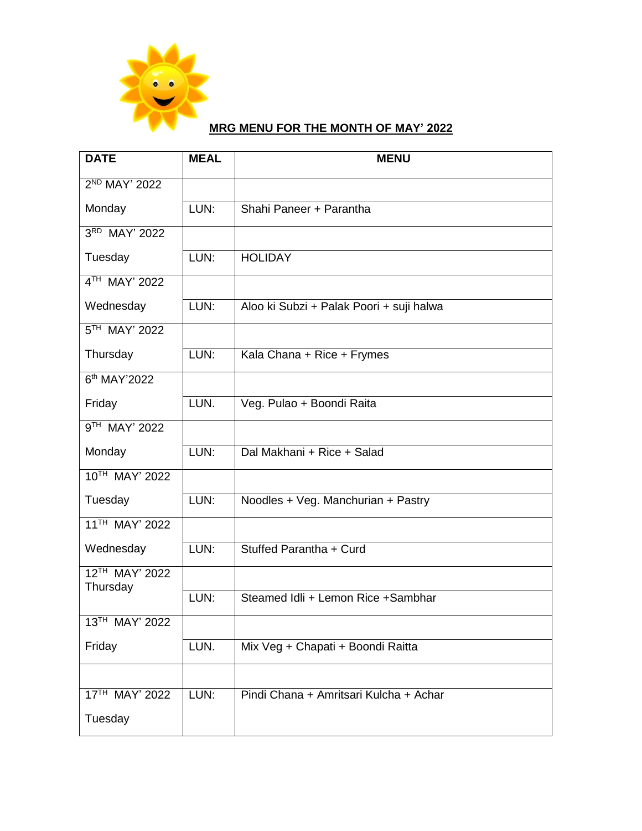

## **MRG MENU FOR THE MONTH OF MAY' 2022**

| <b>DATE</b>                | <b>MEAL</b> | <b>MENU</b>                              |
|----------------------------|-------------|------------------------------------------|
| 2 <sup>ND</sup> MAY' 2022  |             |                                          |
| Monday                     | LUN:        | Shahi Paneer + Parantha                  |
| 3RD MAY' 2022              |             |                                          |
| Tuesday                    | LUN:        | <b>HOLIDAY</b>                           |
| 4TH MAY' 2022              |             |                                          |
| Wednesday                  | LUN:        | Aloo ki Subzi + Palak Poori + suji halwa |
| 5TH MAY' 2022              |             |                                          |
| Thursday                   | LUN:        | Kala Chana + Rice + Frymes               |
| 6 <sup>th</sup> MAY'2022   |             |                                          |
| Friday                     | LUN.        | Veg. Pulao + Boondi Raita                |
| 9TH MAY' 2022              |             |                                          |
| Monday                     | LUN:        | Dal Makhani + Rice + Salad               |
| 10TH MAY' 2022             |             |                                          |
| Tuesday                    | LUN:        | Noodles + Veg. Manchurian + Pastry       |
| 11 <sup>TH</sup> MAY' 2022 |             |                                          |
| Wednesday                  | LUN:        | Stuffed Parantha + Curd                  |
| 12TH MAY' 2022<br>Thursday |             |                                          |
|                            | LUN:        | Steamed Idli + Lemon Rice + Sambhar      |
| 13TH MAY' 2022             |             |                                          |
| Friday                     | LUN.        | Mix Veg + Chapati + Boondi Raitta        |
|                            |             |                                          |
| 17TH MAY' 2022             | LUN:        | Pindi Chana + Amritsari Kulcha + Achar   |
| Tuesday                    |             |                                          |